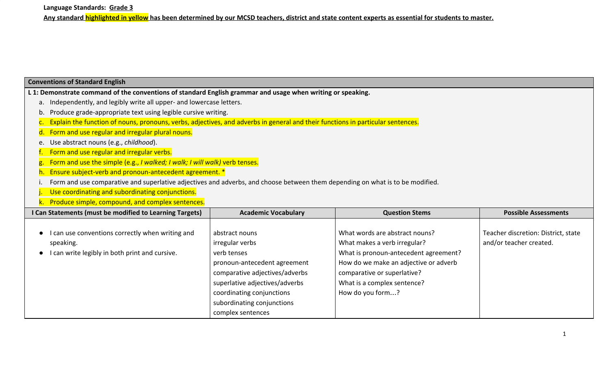| <b>Conventions of Standard English</b>                                                                                          |                                                                                                                                                                                                                                      |                                                                                                                                                                                                                                    |                                                                |  |  |
|---------------------------------------------------------------------------------------------------------------------------------|--------------------------------------------------------------------------------------------------------------------------------------------------------------------------------------------------------------------------------------|------------------------------------------------------------------------------------------------------------------------------------------------------------------------------------------------------------------------------------|----------------------------------------------------------------|--|--|
| L 1: Demonstrate command of the conventions of standard English grammar and usage when writing or speaking.                     |                                                                                                                                                                                                                                      |                                                                                                                                                                                                                                    |                                                                |  |  |
| a.                                                                                                                              | Independently, and legibly write all upper- and lowercase letters.                                                                                                                                                                   |                                                                                                                                                                                                                                    |                                                                |  |  |
| Produce grade-appropriate text using legible cursive writing.                                                                   |                                                                                                                                                                                                                                      |                                                                                                                                                                                                                                    |                                                                |  |  |
| Explain the function of nouns, pronouns, verbs, adjectives, and adverbs in general and their functions in particular sentences. |                                                                                                                                                                                                                                      |                                                                                                                                                                                                                                    |                                                                |  |  |
| Form and use regular and irregular plural nouns.                                                                                |                                                                                                                                                                                                                                      |                                                                                                                                                                                                                                    |                                                                |  |  |
| Use abstract nouns (e.g., childhood).<br>e.                                                                                     |                                                                                                                                                                                                                                      |                                                                                                                                                                                                                                    |                                                                |  |  |
| Form and use regular and irregular verbs.                                                                                       |                                                                                                                                                                                                                                      |                                                                                                                                                                                                                                    |                                                                |  |  |
| Form and use the simple (e.g., I walked; I walk; I will walk) verb tenses.                                                      |                                                                                                                                                                                                                                      |                                                                                                                                                                                                                                    |                                                                |  |  |
| Ensure subject-verb and pronoun-antecedent agreement. *                                                                         |                                                                                                                                                                                                                                      |                                                                                                                                                                                                                                    |                                                                |  |  |
| Form and use comparative and superlative adjectives and adverbs, and choose between them depending on what is to be modified.   |                                                                                                                                                                                                                                      |                                                                                                                                                                                                                                    |                                                                |  |  |
| Use coordinating and subordinating conjunctions.                                                                                |                                                                                                                                                                                                                                      |                                                                                                                                                                                                                                    |                                                                |  |  |
| k. Produce simple, compound, and complex sentences.                                                                             |                                                                                                                                                                                                                                      |                                                                                                                                                                                                                                    |                                                                |  |  |
| I Can Statements (must be modified to Learning Targets)                                                                         | <b>Academic Vocabulary</b>                                                                                                                                                                                                           | <b>Question Stems</b>                                                                                                                                                                                                              | <b>Possible Assessments</b>                                    |  |  |
| can use conventions correctly when writing and<br>speaking.<br>can write legibly in both print and cursive.                     | abstract nouns<br>irregular verbs<br>verb tenses<br>pronoun-antecedent agreement<br>comparative adjectives/adverbs<br>superlative adjectives/adverbs<br>coordinating conjunctions<br>subordinating conjunctions<br>complex sentences | What words are abstract nouns?<br>What makes a verb irregular?<br>What is pronoun-antecedent agreement?<br>How do we make an adjective or adverb<br>comparative or superlative?<br>What is a complex sentence?<br>How do you form? | Teacher discretion: District, state<br>and/or teacher created. |  |  |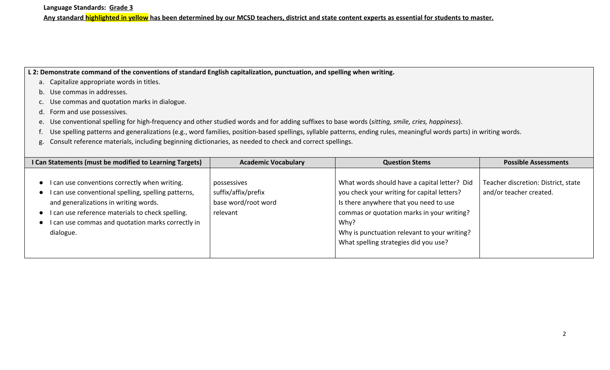**L 2: Demonstrate command of the conventions of standard English capitalization, punctuation, and spelling when writing.**

- a. Capitalize appropriate words in titles.
- b. Use commas in addresses.
- c. Use commas and quotation marks in dialogue.
- d. Form and use possessives.
- e. Use conventional spelling for high-frequency and other studied words and for adding suffixes to base words (*sitting, smile, cries, happiness*).
- f. Use spelling patterns and generalizations (e.g., word families, position-based spellings, syllable patterns, ending rules, meaningful words parts) in writing words.
- g. Consult reference materials, including beginning dictionaries, as needed to check and correct spellings.

| I Can Statements (must be modified to Learning Targets)                                                                                                                                                                                                                                       | <b>Academic Vocabulary</b>                                            | <b>Question Stems</b>                                                                                                                                                                                                                                                                | <b>Possible Assessments</b>                                    |
|-----------------------------------------------------------------------------------------------------------------------------------------------------------------------------------------------------------------------------------------------------------------------------------------------|-----------------------------------------------------------------------|--------------------------------------------------------------------------------------------------------------------------------------------------------------------------------------------------------------------------------------------------------------------------------------|----------------------------------------------------------------|
| I can use conventions correctly when writing.<br>I can use conventional spelling, spelling patterns,<br>$\bullet$<br>and generalizations in writing words.<br>I can use reference materials to check spelling.<br>I can use commas and quotation marks correctly in<br>$\bullet$<br>dialogue. | possessives<br>suffix/affix/prefix<br>base word/root word<br>relevant | What words should have a capital letter? Did<br>you check your writing for capital letters?<br>Is there anywhere that you need to use<br>commas or quotation marks in your writing?<br>Why?<br>Why is punctuation relevant to your writing?<br>What spelling strategies did you use? | Teacher discretion: District, state<br>and/or teacher created. |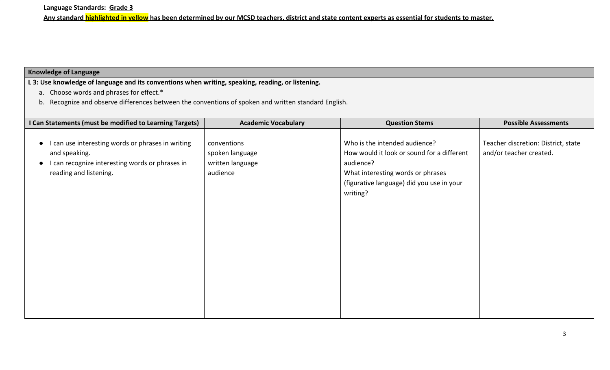## **Knowledge of Language**

**L 3: Use knowledge of language and its conventions when writing, speaking, reading, or listening.**

- a. Choose words and phrases for effect.\*
- b. Recognize and observe differences between the conventions of spoken and written standard English.

| I Can Statements (must be modified to Learning Targets)                                                                                       | <b>Academic Vocabulary</b>                                     | <b>Question Stems</b>                                                                                                                                                                  | <b>Possible Assessments</b>                                    |
|-----------------------------------------------------------------------------------------------------------------------------------------------|----------------------------------------------------------------|----------------------------------------------------------------------------------------------------------------------------------------------------------------------------------------|----------------------------------------------------------------|
| can use interesting words or phrases in writing<br>and speaking.<br>I can recognize interesting words or phrases in<br>reading and listening. | conventions<br>spoken language<br>written language<br>audience | Who is the intended audience?<br>How would it look or sound for a different<br>audience?<br>What interesting words or phrases<br>(figurative language) did you use in your<br>writing? | Teacher discretion: District, state<br>and/or teacher created. |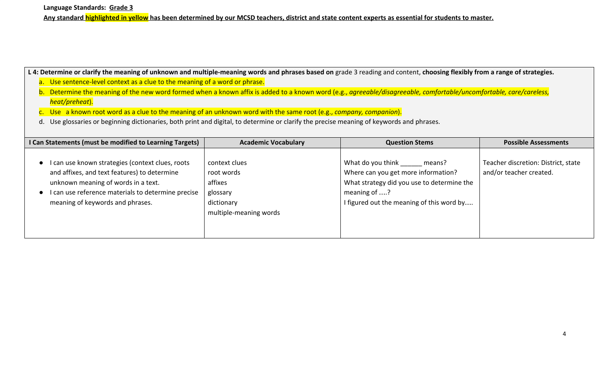**Language Standards: Grade 3**

**Any standard highlighted in yellow has been determined by our MCSD teachers, district and state content experts as essential for students to master.**

L 4: Determine or clarify the meaning of unknown and multiple-meaning words and phrases based on grade 3 reading and content, choosing flexibly from a range of strategies.

- a. Use sentence-level context as a clue to the meaning of a word or phrase.
- b. Determine the meaning of the new word formed when a known affix is added to a known word (e.g., *agreeable/disagreeable, comfortable/uncomfortable, care/careless, heat/preheat*).
- c. Use a known root word as a clue to the meaning of an unknown word with the same root (e.g., *company, companion*).
- d. Use glossaries or beginning dictionaries, both print and digital, to determine or clarify the precise meaning of keywords and phrases.

| I Can Statements (must be modified to Learning Targets)                                                                                                                                                                         | <b>Academic Vocabulary</b>                                                                 | <b>Question Stems</b>                                                                                                                                                         | <b>Possible Assessments</b>                                    |
|---------------------------------------------------------------------------------------------------------------------------------------------------------------------------------------------------------------------------------|--------------------------------------------------------------------------------------------|-------------------------------------------------------------------------------------------------------------------------------------------------------------------------------|----------------------------------------------------------------|
| I can use known strategies (context clues, roots<br>and affixes, and text features) to determine<br>unknown meaning of words in a text.<br>can use reference materials to determine precise<br>meaning of keywords and phrases. | context clues<br>root words<br>affixes<br>glossary<br>dictionary<br>multiple-meaning words | What do you think<br>means?<br>Where can you get more information?<br>What strategy did you use to determine the<br>meaning of ?<br>I figured out the meaning of this word by | Teacher discretion: District, state<br>and/or teacher created. |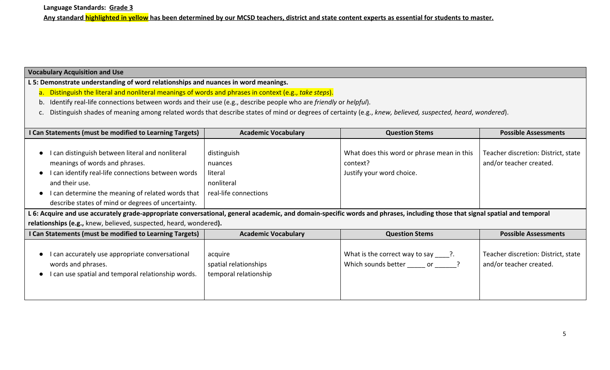## **Vocabulary Acquisition and Use**

**L 5: Demonstrate understanding of word relationships and nuances in word meanings.**

- a. Distinguish the literal and nonliteral meanings of words and phrases in context (e.g., *take steps*).
- b. Identify real-life connections between words and their use (e.g., describe people who are *friendly* or *helpful*).
- c. Distinguish shades of meaning among related words that describe states of mind or degrees of certainty (e.g., *knew, believed, suspected, heard*, *wondered*).

| I Can Statements (must be modified to Learning Targets)                                                                                                                                                                                                               | <b>Academic Vocabulary</b>                                               | <b>Question Stems</b>                                                               | <b>Possible Assessments</b>                                    |
|-----------------------------------------------------------------------------------------------------------------------------------------------------------------------------------------------------------------------------------------------------------------------|--------------------------------------------------------------------------|-------------------------------------------------------------------------------------|----------------------------------------------------------------|
| I can distinguish between literal and nonliteral<br>meanings of words and phrases.<br>I can identify real-life connections between words<br>and their use.<br>I can determine the meaning of related words that<br>describe states of mind or degrees of uncertainty. | distinguish<br>nuances<br>literal<br>nonliteral<br>real-life connections | What does this word or phrase mean in this<br>context?<br>Justify your word choice. | Teacher discretion: District, state<br>and/or teacher created. |
| L 6: Acquire and use accurately grade-appropriate conversational, general academic, and domain-specific words and phrases, including those that signal spatial and temporal                                                                                           |                                                                          |                                                                                     |                                                                |

**relationships (e.g.,** knew, believed, suspected, heard, wondered**).**

| I Can Statements (must be modified to Learning Targets)                                                                     | <b>Academic Vocabulary</b>                                | <b>Question Stems</b>                                                   | <b>Possible Assessments</b>                                    |
|-----------------------------------------------------------------------------------------------------------------------------|-----------------------------------------------------------|-------------------------------------------------------------------------|----------------------------------------------------------------|
| I can accurately use appropriate conversational<br>words and phrases.<br>I can use spatial and temporal relationship words. | acquire<br>spatial relationships<br>temporal relationship | What is the correct way to say $\qquad$ ?.<br>Which sounds better<br>or | Teacher discretion: District, state<br>and/or teacher created. |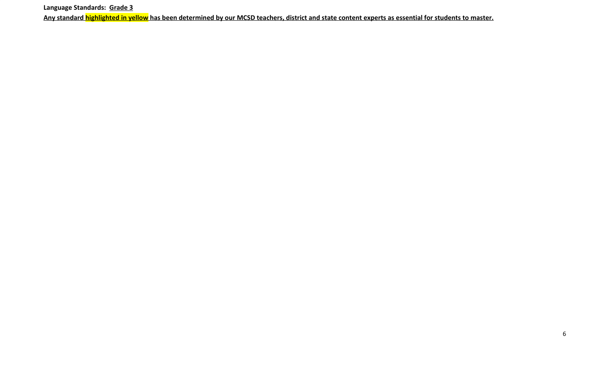**Language Standards: Grade 3**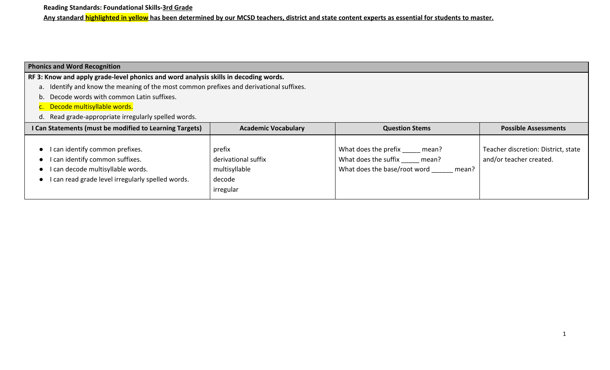**Reading Standards: Foundational Skills-3rd Grade**

**Any standard highlighted in yellow has been determined by our MCSD teachers, district and state content experts as essential for students to master.**

### **Phonics and Word Recognition**

**RF 3: Know and apply grade-level phonics and word analysis skills in decoding words.**

- a. Identify and know the meaning of the most common prefixes and derivational suffixes.
- b. Decode words with common Latin suffixes.
- c. Decode multisyllable words.
- d. Read grade-appropriate irregularly spelled words.

| I Can Statements (must be modified to Learning Targets)                                                                                                    | <b>Academic Vocabulary</b>                                            | <b>Question Stems</b>                                                                                   | <b>Possible Assessments</b>                                    |
|------------------------------------------------------------------------------------------------------------------------------------------------------------|-----------------------------------------------------------------------|---------------------------------------------------------------------------------------------------------|----------------------------------------------------------------|
| I can identify common prefixes.<br>I can identify common suffixes.<br>I can decode multisyllable words.<br>can read grade level irregularly spelled words. | prefix<br>derivational suffix<br>multisyllable<br>decode<br>irregular | What does the prefix<br>mean?<br>What does the suffix<br>mean?<br>What does the base/root word<br>mean? | Teacher discretion: District, state<br>and/or teacher created. |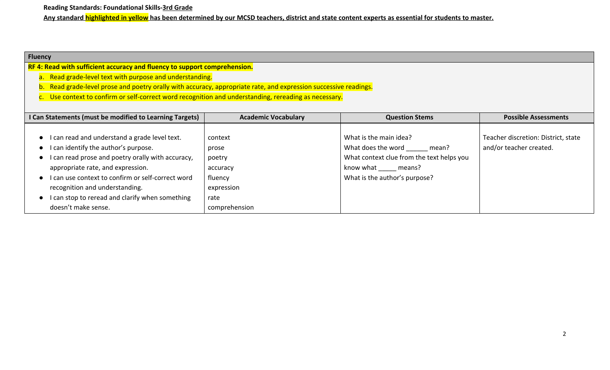**Reading Standards: Foundational Skills-3rd Grade**

**Any standard highlighted in yellow has been determined by our MCSD teachers, district and state content experts as essential for students to master.**

## **Fluency**

**RF 4: Read with sufficient accuracy and fluency to support comprehension.**

- a. Read grade-level text with purpose and understanding.
- b. Read grade-level prose and poetry orally with accuracy, appropriate rate, and expression successive readings.
- c. Use context to confirm or self-correct word recognition and understanding, rereading as necessary.

| I Can Statements (must be modified to Learning Targets) | <b>Academic Vocabulary</b> | <b>Question Stems</b>                     | <b>Possible Assessments</b>         |
|---------------------------------------------------------|----------------------------|-------------------------------------------|-------------------------------------|
|                                                         |                            |                                           |                                     |
| can read and understand a grade level text.             | context                    | What is the main idea?                    | Teacher discretion: District, state |
| can identify the author's purpose.                      | prose                      | What does the word<br>mean?               | and/or teacher created.             |
| can read prose and poetry orally with accuracy,         | poetry                     | What context clue from the text helps you |                                     |
| appropriate rate, and expression.                       | accuracy                   | know what means?                          |                                     |
| can use context to confirm or self-correct word         | fluency                    | What is the author's purpose?             |                                     |
| recognition and understanding.                          | expression                 |                                           |                                     |
| can stop to reread and clarify when something           | rate                       |                                           |                                     |
| doesn't make sense.                                     | comprehension              |                                           |                                     |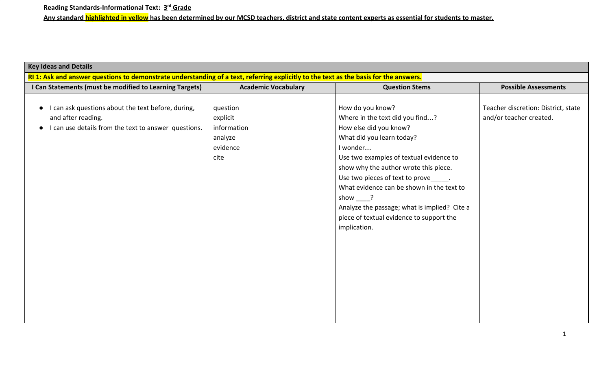| <b>Key Ideas and Details</b>                                                                                                          |                                                                    |                                                                                                                                                                                                                                                                                                                                                                                                                          |                                                                |  |
|---------------------------------------------------------------------------------------------------------------------------------------|--------------------------------------------------------------------|--------------------------------------------------------------------------------------------------------------------------------------------------------------------------------------------------------------------------------------------------------------------------------------------------------------------------------------------------------------------------------------------------------------------------|----------------------------------------------------------------|--|
| RI 1: Ask and answer questions to demonstrate understanding of a text, referring explicitly to the text as the basis for the answers. |                                                                    |                                                                                                                                                                                                                                                                                                                                                                                                                          |                                                                |  |
| I Can Statements (must be modified to Learning Targets)                                                                               | <b>Academic Vocabulary</b>                                         | <b>Question Stems</b>                                                                                                                                                                                                                                                                                                                                                                                                    | <b>Possible Assessments</b>                                    |  |
| I can ask questions about the text before, during,<br>and after reading.<br>I can use details from the text to answer questions.      | question<br>explicit<br>information<br>analyze<br>evidence<br>cite | How do you know?<br>Where in the text did you find?<br>How else did you know?<br>What did you learn today?<br>I wonder<br>Use two examples of textual evidence to<br>show why the author wrote this piece.<br>Use two pieces of text to prove ______.<br>What evidence can be shown in the text to<br>show ?<br>Analyze the passage; what is implied? Cite a<br>piece of textual evidence to support the<br>implication. | Teacher discretion: District, state<br>and/or teacher created. |  |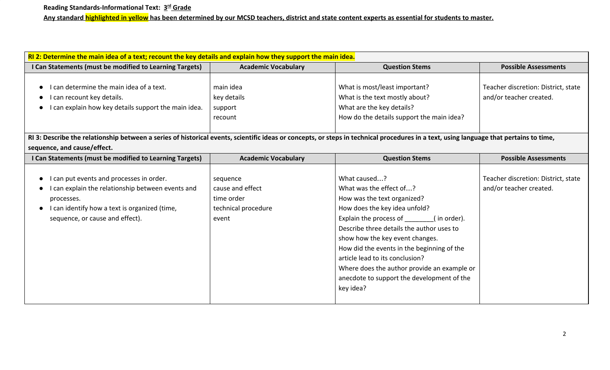| RI 2: Determine the main idea of a text; recount the key details and explain how they support the main idea.                                                                           |                            |                                             |                                     |
|----------------------------------------------------------------------------------------------------------------------------------------------------------------------------------------|----------------------------|---------------------------------------------|-------------------------------------|
| I Can Statements (must be modified to Learning Targets)                                                                                                                                | <b>Academic Vocabulary</b> | <b>Question Stems</b>                       | <b>Possible Assessments</b>         |
|                                                                                                                                                                                        |                            |                                             |                                     |
| can determine the main idea of a text.                                                                                                                                                 | main idea                  | What is most/least important?               | Teacher discretion: District, state |
| I can recount key details.                                                                                                                                                             | key details                | What is the text mostly about?              | and/or teacher created.             |
| I can explain how key details support the main idea.                                                                                                                                   | support                    | What are the key details?                   |                                     |
|                                                                                                                                                                                        | recount                    | How do the details support the main idea?   |                                     |
|                                                                                                                                                                                        |                            |                                             |                                     |
| RI 3: Describe the relationship between a series of historical events, scientific ideas or concepts, or steps in technical procedures in a text, using language that pertains to time, |                            |                                             |                                     |
| sequence, and cause/effect.                                                                                                                                                            |                            |                                             |                                     |
| I Can Statements (must be modified to Learning Targets)                                                                                                                                | <b>Academic Vocabulary</b> | <b>Question Stems</b>                       | <b>Possible Assessments</b>         |
|                                                                                                                                                                                        |                            |                                             |                                     |
| I can put events and processes in order.                                                                                                                                               | sequence                   | What caused?                                | Teacher discretion: District, state |
| I can explain the relationship between events and                                                                                                                                      | cause and effect           | What was the effect of?                     | and/or teacher created.             |
| processes.                                                                                                                                                                             | time order                 | How was the text organized?                 |                                     |
| I can identify how a text is organized (time,                                                                                                                                          | technical procedure        | How does the key idea unfold?               |                                     |
| sequence, or cause and effect).                                                                                                                                                        | event                      | Explain the process of (in order).          |                                     |
|                                                                                                                                                                                        |                            | Describe three details the author uses to   |                                     |
|                                                                                                                                                                                        |                            | show how the key event changes.             |                                     |
|                                                                                                                                                                                        |                            | How did the events in the beginning of the  |                                     |
|                                                                                                                                                                                        |                            | article lead to its conclusion?             |                                     |
|                                                                                                                                                                                        |                            | Where does the author provide an example or |                                     |
|                                                                                                                                                                                        |                            | anecdote to support the development of the  |                                     |
|                                                                                                                                                                                        |                            | key idea?                                   |                                     |
|                                                                                                                                                                                        |                            |                                             |                                     |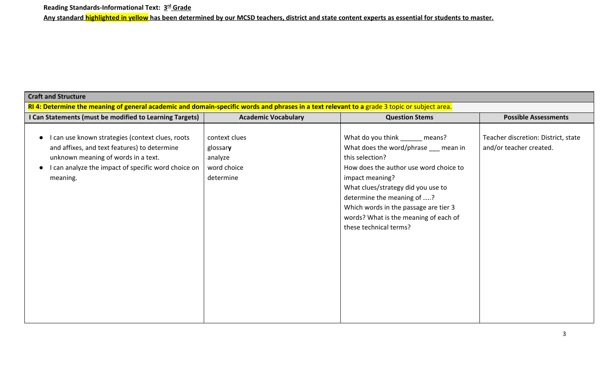| <b>Craft and Structure</b>                                                                                                                                                                                 |                                                                                                                                              |                                                                                                                                                                                                                                                                                                                                          |                                                                |  |  |
|------------------------------------------------------------------------------------------------------------------------------------------------------------------------------------------------------------|----------------------------------------------------------------------------------------------------------------------------------------------|------------------------------------------------------------------------------------------------------------------------------------------------------------------------------------------------------------------------------------------------------------------------------------------------------------------------------------------|----------------------------------------------------------------|--|--|
|                                                                                                                                                                                                            | RI 4: Determine the meaning of general academic and domain-specific words and phrases in a text relevant to a grade 3 topic or subject area. |                                                                                                                                                                                                                                                                                                                                          |                                                                |  |  |
| I Can Statements (must be modified to Learning Targets)                                                                                                                                                    | <b>Academic Vocabulary</b>                                                                                                                   | <b>Question Stems</b>                                                                                                                                                                                                                                                                                                                    | <b>Possible Assessments</b>                                    |  |  |
| I can use known strategies (context clues, roots<br>and affixes, and text features) to determine<br>unknown meaning of words in a text.<br>I can analyze the impact of specific word choice on<br>meaning. | context clues<br>glossary<br>analyze<br>word choice<br>determine                                                                             | What do you think _______ means?<br>What does the word/phrase __ mean in<br>this selection?<br>How does the author use word choice to<br>impact meaning?<br>What clues/strategy did you use to<br>determine the meaning of ?<br>Which words in the passage are tier 3<br>words? What is the meaning of each of<br>these technical terms? | Teacher discretion: District, state<br>and/or teacher created. |  |  |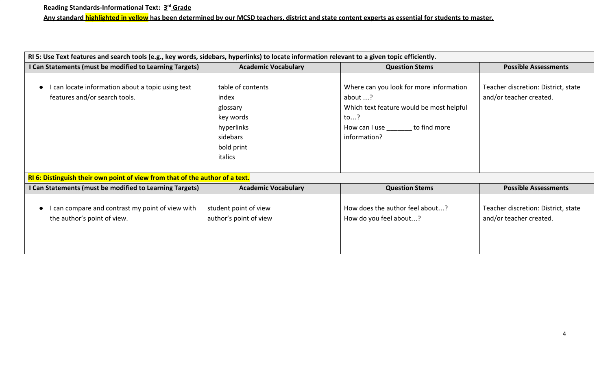| RI 5: Use Text features and search tools (e.g., key words, sidebars, hyperlinks) to locate information relevant to a given topic efficiently. |                                                                                                        |                                                                                                                                                     |                                                                |
|-----------------------------------------------------------------------------------------------------------------------------------------------|--------------------------------------------------------------------------------------------------------|-----------------------------------------------------------------------------------------------------------------------------------------------------|----------------------------------------------------------------|
| I Can Statements (must be modified to Learning Targets)                                                                                       | <b>Academic Vocabulary</b>                                                                             | <b>Question Stems</b>                                                                                                                               | <b>Possible Assessments</b>                                    |
| I can locate information about a topic using text<br>features and/or search tools.                                                            | table of contents<br>index<br>glossary<br>key words<br>hyperlinks<br>sidebars<br>bold print<br>italics | Where can you look for more information<br>about ?<br>Which text feature would be most helpful<br>to?<br>How can I use to find more<br>information? | Teacher discretion: District, state<br>and/or teacher created. |
| RI 6: Distinguish their own point of view from that of the author of a text.                                                                  |                                                                                                        |                                                                                                                                                     |                                                                |
| I Can Statements (must be modified to Learning Targets)                                                                                       | <b>Academic Vocabulary</b>                                                                             | <b>Question Stems</b>                                                                                                                               | <b>Possible Assessments</b>                                    |
| can compare and contrast my point of view with<br>the author's point of view.                                                                 | student point of view<br>author's point of view                                                        | How does the author feel about?<br>How do you feel about?                                                                                           | Teacher discretion: District, state<br>and/or teacher created. |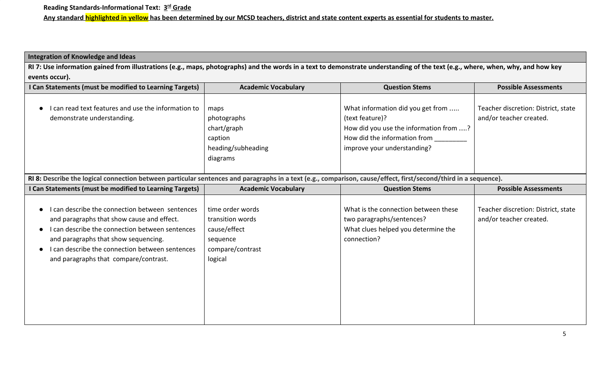# **Integration of Knowledge and Ideas**

**RI 7: Use information gained from illustrations (e.g., maps, photographs) and the words in a text to demonstrate understanding of the text (e.g., where, when, why, and how key events occur).**

| I Can Statements (must be modified to Learning Targets)                                                                                                         | <b>Academic Vocabulary</b> | <b>Question Stems</b>                  | <b>Possible Assessments</b>         |
|-----------------------------------------------------------------------------------------------------------------------------------------------------------------|----------------------------|----------------------------------------|-------------------------------------|
|                                                                                                                                                                 |                            |                                        |                                     |
| I can read text features and use the information to                                                                                                             | maps                       | What information did you get from      | Teacher discretion: District, state |
| demonstrate understanding.                                                                                                                                      | photographs                | (text feature)?                        | and/or teacher created.             |
|                                                                                                                                                                 | chart/graph                | How did you use the information from ? |                                     |
|                                                                                                                                                                 | caption                    | How did the information from           |                                     |
|                                                                                                                                                                 | heading/subheading         | improve your understanding?            |                                     |
|                                                                                                                                                                 | diagrams                   |                                        |                                     |
|                                                                                                                                                                 |                            |                                        |                                     |
| RI 8: Describe the logical connection between particular sentences and paragraphs in a text (e.g., comparison, cause/effect, first/second/third in a sequence). |                            |                                        |                                     |
| I Can Statements (must be modified to Learning Targets)                                                                                                         | <b>Academic Vocabulary</b> | <b>Question Stems</b>                  | <b>Possible Assessments</b>         |
|                                                                                                                                                                 |                            |                                        |                                     |
| I can describe the connection between sentences                                                                                                                 | time order words           | What is the connection between these   | Teacher discretion: District, state |
| and paragraphs that show cause and effect.                                                                                                                      | transition words           | two paragraphs/sentences?              | and/or teacher created.             |
| I can describe the connection between sentences                                                                                                                 | cause/effect               | What clues helped you determine the    |                                     |
| and paragraphs that show sequencing.                                                                                                                            | sequence                   | connection?                            |                                     |
| I can describe the connection between sentences                                                                                                                 | compare/contrast           |                                        |                                     |
| and paragraphs that compare/contrast.                                                                                                                           | logical                    |                                        |                                     |
|                                                                                                                                                                 |                            |                                        |                                     |
|                                                                                                                                                                 |                            |                                        |                                     |
|                                                                                                                                                                 |                            |                                        |                                     |
|                                                                                                                                                                 |                            |                                        |                                     |
|                                                                                                                                                                 |                            |                                        |                                     |
|                                                                                                                                                                 |                            |                                        |                                     |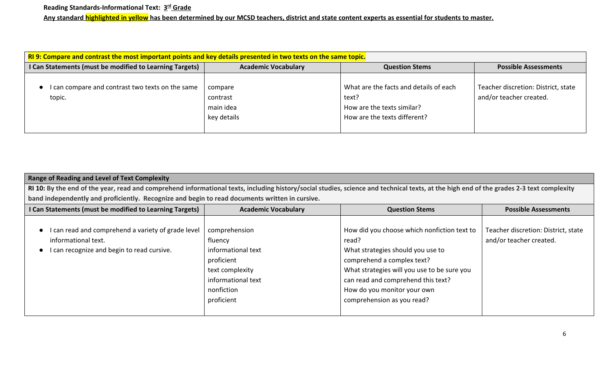| RI 9: Compare and contrast the most important points and key details presented in two texts on the same topic. |                                                 |                                                                                                               |                                                                |  |
|----------------------------------------------------------------------------------------------------------------|-------------------------------------------------|---------------------------------------------------------------------------------------------------------------|----------------------------------------------------------------|--|
| I Can Statements (must be modified to Learning Targets)                                                        | <b>Academic Vocabulary</b>                      | <b>Question Stems</b>                                                                                         | <b>Possible Assessments</b>                                    |  |
| I can compare and contrast two texts on the same<br>topic.                                                     | compare<br>contrast<br>main idea<br>key details | What are the facts and details of each<br>text?<br>How are the texts similar?<br>How are the texts different? | Teacher discretion: District, state<br>and/or teacher created. |  |

| <b>Range of Reading and Level of Text Complexity</b>                                                                                                                                     |                                                                                                                                   |                                                                                                                                                                                                                                                                           |                                                                |  |  |
|------------------------------------------------------------------------------------------------------------------------------------------------------------------------------------------|-----------------------------------------------------------------------------------------------------------------------------------|---------------------------------------------------------------------------------------------------------------------------------------------------------------------------------------------------------------------------------------------------------------------------|----------------------------------------------------------------|--|--|
| RI 10: By the end of the year, read and comprehend informational texts, including history/social studies, science and technical texts, at the high end of the grades 2-3 text complexity |                                                                                                                                   |                                                                                                                                                                                                                                                                           |                                                                |  |  |
| band independently and proficiently. Recognize and begin to read documents written in cursive.                                                                                           |                                                                                                                                   |                                                                                                                                                                                                                                                                           |                                                                |  |  |
| I Can Statements (must be modified to Learning Targets)                                                                                                                                  | <b>Academic Vocabulary</b><br><b>Possible Assessments</b><br><b>Question Stems</b>                                                |                                                                                                                                                                                                                                                                           |                                                                |  |  |
| can read and comprehend a variety of grade level<br>informational text.<br>I can recognize and begin to read cursive.                                                                    | comprehension<br>fluency<br>informational text<br>proficient<br>text complexity<br>informational text<br>nonfiction<br>proficient | How did you choose which nonfiction text to<br>read?<br>What strategies should you use to<br>comprehend a complex text?<br>What strategies will you use to be sure you<br>can read and comprehend this text?<br>How do you monitor your own<br>comprehension as you read? | Teacher discretion: District, state<br>and/or teacher created. |  |  |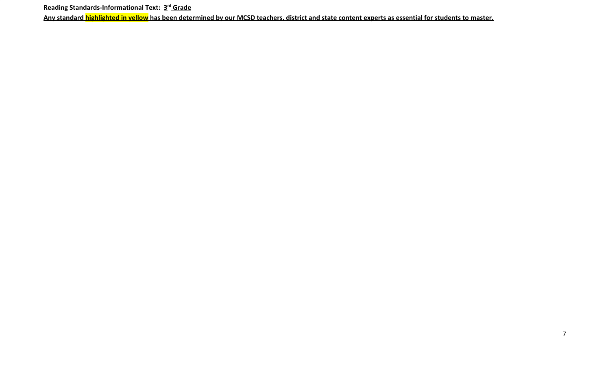Reading Standards-Informational Text: 3<sup>rd</sup> Grade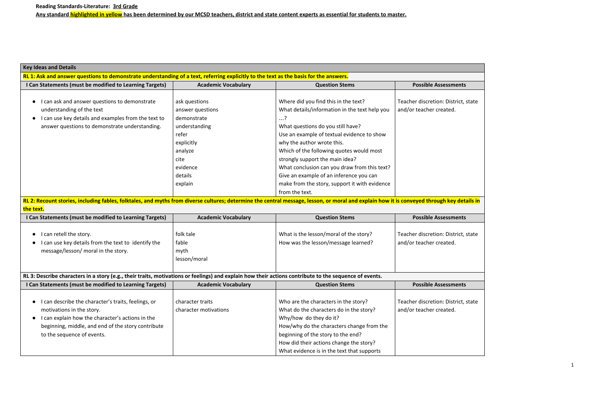| <b>Key Ideas and Details</b>                                                                                                                                                               |                            |                                               |                                     |
|--------------------------------------------------------------------------------------------------------------------------------------------------------------------------------------------|----------------------------|-----------------------------------------------|-------------------------------------|
| RL 1: Ask and answer questions to demonstrate understanding of a text, referring explicitly to the text as the basis for the answers.                                                      |                            |                                               |                                     |
| I Can Statements (must be modified to Learning Targets)                                                                                                                                    | <b>Academic Vocabulary</b> | <b>Question Stems</b>                         | <b>Possible Assessments</b>         |
|                                                                                                                                                                                            |                            |                                               |                                     |
| I can ask and answer questions to demonstrate<br>$\bullet$                                                                                                                                 | ask questions              | Where did you find this in the text?          | Teacher discretion: District, state |
| understanding of the text                                                                                                                                                                  | answer questions           | What details/information in the text help you | and/or teacher created.             |
| I can use key details and examples from the text to<br>$\bullet$                                                                                                                           | demonstrate                | $\dots$ ?                                     |                                     |
| answer questions to demonstrate understanding.                                                                                                                                             | understanding              | What questions do you still have?             |                                     |
|                                                                                                                                                                                            | refer                      | Use an example of textual evidence to show    |                                     |
|                                                                                                                                                                                            | explicitly                 | why the author wrote this.                    |                                     |
|                                                                                                                                                                                            | analyze                    | Which of the following quotes would most      |                                     |
|                                                                                                                                                                                            | cite                       | strongly support the main idea?               |                                     |
|                                                                                                                                                                                            | evidence                   | What conclusion can you draw from this text?  |                                     |
|                                                                                                                                                                                            | details                    | Give an example of an inference you can       |                                     |
|                                                                                                                                                                                            | explain                    | make from the story, support it with evidence |                                     |
|                                                                                                                                                                                            |                            | from the text.                                |                                     |
| RL 2: Recount stories, including fables, folktales, and myths from diverse cultures; determine the central message, lesson, or moral and explain how it is conveyed through key details in |                            |                                               |                                     |
| the text.                                                                                                                                                                                  |                            |                                               |                                     |
| I Can Statements (must be modified to Learning Targets)                                                                                                                                    | <b>Academic Vocabulary</b> | <b>Question Stems</b>                         | <b>Possible Assessments</b>         |
|                                                                                                                                                                                            |                            |                                               |                                     |
| I can retell the story.<br>$\bullet$                                                                                                                                                       | folk tale                  | What is the lesson/moral of the story?        | Teacher discretion: District, state |
| I can use key details from the text to identify the                                                                                                                                        | fable                      | How was the lesson/message learned?           | and/or teacher created.             |
| message/lesson/ moral in the story.                                                                                                                                                        | myth                       |                                               |                                     |
|                                                                                                                                                                                            | lesson/moral               |                                               |                                     |
|                                                                                                                                                                                            |                            |                                               |                                     |
| RL 3: Describe characters in a story (e.g., their traits, motivations or feelings) and explain how their actions contribute to the sequence of events.                                     |                            |                                               |                                     |
| I Can Statements (must be modified to Learning Targets)                                                                                                                                    | <b>Academic Vocabulary</b> | <b>Question Stems</b>                         | <b>Possible Assessments</b>         |
|                                                                                                                                                                                            |                            |                                               |                                     |
| I can describe the character's traits, feelings, or                                                                                                                                        | character traits           | Who are the characters in the story?          | Teacher discretion: District, state |
| motivations in the story.                                                                                                                                                                  | character motivations      | What do the characters do in the story?       | and/or teacher created.             |
| I can explain how the character's actions in the                                                                                                                                           |                            | Why/how do they do it?                        |                                     |
| beginning, middle, and end of the story contribute                                                                                                                                         |                            | How/why do the characters change from the     |                                     |
| to the sequence of events.                                                                                                                                                                 |                            | beginning of the story to the end?            |                                     |
|                                                                                                                                                                                            |                            | How did their actions change the story?       |                                     |
|                                                                                                                                                                                            |                            | What evidence is in the text that supports    |                                     |

| sments                            |  |
|-----------------------------------|--|
| District, state<br>ted.           |  |
|                                   |  |
|                                   |  |
| <mark>key details in</mark>       |  |
|                                   |  |
| sments                            |  |
| District, state<br>ted.           |  |
|                                   |  |
|                                   |  |
|                                   |  |
| sments<br>District, state<br>ted. |  |
|                                   |  |
|                                   |  |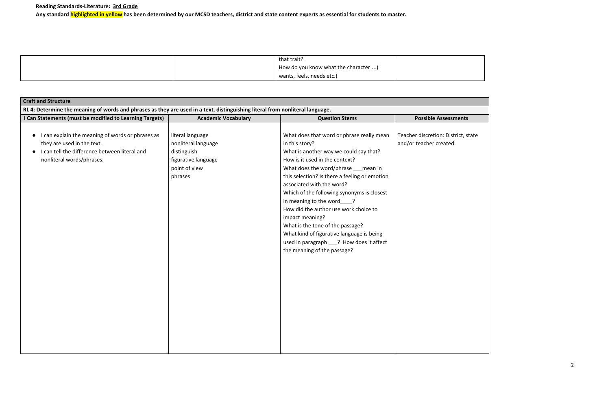|  | that trait?                          |  |
|--|--------------------------------------|--|
|  | How do you know what the character ( |  |
|  | wants, feels, needs etc.)            |  |

| <b>Craft and Structure</b>                                                                                                                                                             |                                                                                                           |                                                                                                                                                                                                                                                                                                                                                                                                                                                                                                                                                                   |                                                             |  |
|----------------------------------------------------------------------------------------------------------------------------------------------------------------------------------------|-----------------------------------------------------------------------------------------------------------|-------------------------------------------------------------------------------------------------------------------------------------------------------------------------------------------------------------------------------------------------------------------------------------------------------------------------------------------------------------------------------------------------------------------------------------------------------------------------------------------------------------------------------------------------------------------|-------------------------------------------------------------|--|
| RL 4: Determine the meaning of words and phrases as they are used in a text, distinguishing literal from nonliteral language.                                                          |                                                                                                           |                                                                                                                                                                                                                                                                                                                                                                                                                                                                                                                                                                   |                                                             |  |
| I Can Statements (must be modified to Learning Targets)                                                                                                                                | <b>Academic Vocabulary</b>                                                                                | <b>Question Stems</b>                                                                                                                                                                                                                                                                                                                                                                                                                                                                                                                                             | <b>Possible Assessments</b>                                 |  |
| I can explain the meaning of words or phrases as<br>$\bullet$<br>they are used in the text.<br>I can tell the difference between literal and<br>$\bullet$<br>nonliteral words/phrases. | literal language<br>nonliteral language<br>distinguish<br>figurative language<br>point of view<br>phrases | What does that word or phrase really mean<br>in this story?<br>What is another way we could say that?<br>How is it used in the context?<br>What does the word/phrase ___ mean in<br>this selection? Is there a feeling or emotion<br>associated with the word?<br>Which of the following synonyms is closest<br>in meaning to the word ?<br>How did the author use work choice to<br>impact meaning?<br>What is the tone of the passage?<br>What kind of figurative language is being<br>used in paragraph ___? How does it affect<br>the meaning of the passage? | Teacher discretion: District, st<br>and/or teacher created. |  |

listrict, state ed.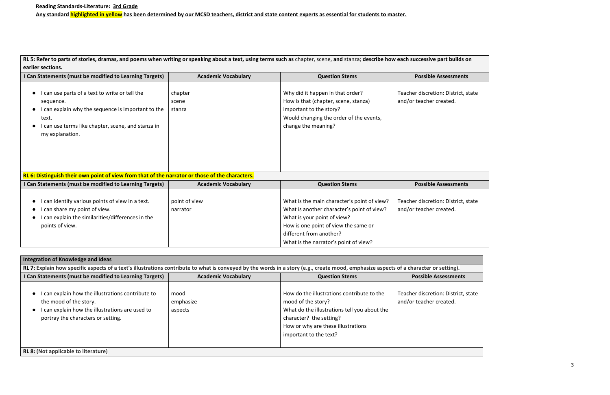RL 5: Refer to parts of stories, dramas, and poems when writing or speaking about a text, using terms such as chapter, scene, and stanza; describe how each successive part **earlier sections.**

| I Can Statements (must be modified to Learning Targets)                                                                                                                                           | <b>Academic Vocabulary</b> | <b>Question Stems</b>                                                                                                                                                 | <b>Possible Assessments</b>                                    |
|---------------------------------------------------------------------------------------------------------------------------------------------------------------------------------------------------|----------------------------|-----------------------------------------------------------------------------------------------------------------------------------------------------------------------|----------------------------------------------------------------|
| I can use parts of a text to write or tell the<br>sequence.<br>I can explain why the sequence is important to the<br>text.<br>can use terms like chapter, scene, and stanza in<br>my explanation. | chapter<br>scene<br>stanza | Why did it happen in that order?<br>How is that (chapter, scene, stanza)<br>important to the story?<br>Would changing the order of the events,<br>change the meaning? | Teacher discretion: District, state<br>and/or teacher created. |
| RL 6: Distinguish their own point of view from that of the narrator or those of the characters.                                                                                                   |                            |                                                                                                                                                                       |                                                                |

| I Can Statements (must be modified to Learning Targets)                                                                                                   | <b>Academic Vocabulary</b> | <b>Question Stems</b>                                                                                                                                                                                                                | <b>Possible Assessments</b>                                    |
|-----------------------------------------------------------------------------------------------------------------------------------------------------------|----------------------------|--------------------------------------------------------------------------------------------------------------------------------------------------------------------------------------------------------------------------------------|----------------------------------------------------------------|
| I can identify various points of view in a text.<br>I can share my point of view.<br>I can explain the similarities/differences in the<br>points of view. | point of view<br>narrator  | What is the main character's point of view?<br>What is another character's point of view?<br>What is your point of view?<br>How is one point of view the same or<br>different from another?<br>What is the narrator's point of view? | Teacher discretion: District, state<br>and/or teacher created. |

| Integration of Knowledge and Ideas                                                                                                                                                    |                              |                                                                                                                                                                                                             |                                                                |
|---------------------------------------------------------------------------------------------------------------------------------------------------------------------------------------|------------------------------|-------------------------------------------------------------------------------------------------------------------------------------------------------------------------------------------------------------|----------------------------------------------------------------|
| RL 7: Explain how specific aspects of a text's illustrations contribute to what is conveyed by the words in a story (e.g., create mood, emphasize aspects of a character or setting). |                              |                                                                                                                                                                                                             |                                                                |
| I Can Statements (must be modified to Learning Targets)                                                                                                                               | <b>Academic Vocabulary</b>   | <b>Question Stems</b>                                                                                                                                                                                       | <b>Possible Assessments</b>                                    |
| I can explain how the illustrations contribute to<br>the mood of the story.<br>I can explain how the illustrations are used to<br>portray the characters or setting.                  | mood<br>emphasize<br>aspects | How do the illustrations contribute to the<br>mood of the story?<br>What do the illustrations tell you about the<br>character? the setting?<br>How or why are these illustrations<br>important to the text? | Teacher discretion: District, state<br>and/or teacher created. |
| RL 8: (Not applicable to literature)                                                                                                                                                  |                              |                                                                                                                                                                                                             |                                                                |

| t builds on     |
|-----------------|
| essments        |
|                 |
| District, state |
| ted.            |
|                 |
|                 |
|                 |
|                 |
|                 |
|                 |
|                 |
|                 |
| essments        |
|                 |
| District, state |
| ted.            |
|                 |
|                 |
|                 |
|                 |
|                 |
|                 |
| ting).          |
| :cmantc         |
|                 |
| District, state |
| ted.            |
|                 |
|                 |
|                 |
|                 |
|                 |
|                 |
|                 |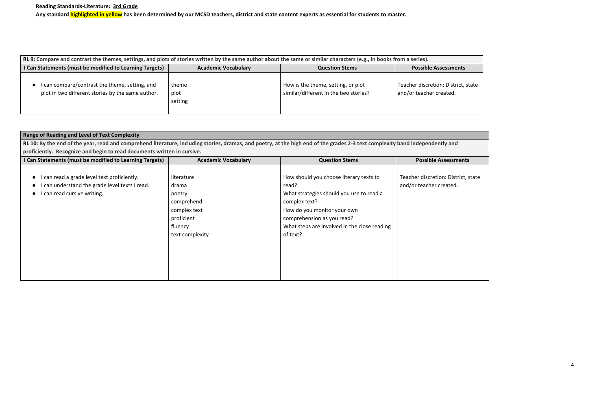| RL 9: Compare and contrast the themes, settings, and plots of stories written by the same author about the same or similar characters (e.g., in books from a series). |                            |                                                                             |                                                          |
|-----------------------------------------------------------------------------------------------------------------------------------------------------------------------|----------------------------|-----------------------------------------------------------------------------|----------------------------------------------------------|
| I Can Statements (must be modified to Learning Targets)                                                                                                               | <b>Academic Vocabulary</b> | <b>Question Stems</b>                                                       | <b>Possible Assessments</b>                              |
| I can compare/contrast the theme, setting, and<br>plot in two different stories by the same author.                                                                   | theme<br>plot<br>setting   | How is the theme, setting, or plot<br>similar/different in the two stories? | Teacher discretion: District,<br>and/or teacher created. |

| <b>Range of Reading and Level of Text Complexity</b>                                                                                                                           |                                                                                                         |                                                                                                                                                                                                                                        |                                                            |  |  |
|--------------------------------------------------------------------------------------------------------------------------------------------------------------------------------|---------------------------------------------------------------------------------------------------------|----------------------------------------------------------------------------------------------------------------------------------------------------------------------------------------------------------------------------------------|------------------------------------------------------------|--|--|
| RL 10: By the end of the year, read and comprehend literature, including stories, dramas, and poetry, at the high end of the grades 2-3 text complexity band independently and |                                                                                                         |                                                                                                                                                                                                                                        |                                                            |  |  |
| proficiently. Recognize and begin to read documents written in cursive.                                                                                                        |                                                                                                         |                                                                                                                                                                                                                                        |                                                            |  |  |
| I Can Statements (must be modified to Learning Targets)                                                                                                                        | <b>Academic Vocabulary</b>                                                                              | <b>Question Stems</b>                                                                                                                                                                                                                  | <b>Possible Assessments</b>                                |  |  |
| can read a grade level text proficiently.<br>can understand the grade level texts I read.<br>I can read cursive writing.                                                       | literature<br>drama<br>poetry<br>comprehend<br>complex text<br>proficient<br>fluency<br>text complexity | How should you choose literary texts to<br>read?<br>What strategies should you use to read a<br>complex text?<br>How do you monitor your own<br>comprehension as you read?<br>What steps are involved in the close reading<br>of text? | Teacher discretion: District, s<br>and/or teacher created. |  |  |

istrict, state ed.

District, state ated.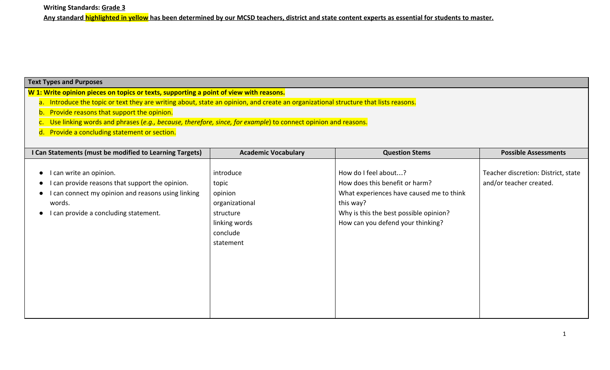**Writing Standards: Grade 3**

**Any standard highlighted in yellow has been determined by our MCSD teachers, district and state content experts as essential for students to master.**

### **Text Types and Purposes**

**W 1: Write opinion pieces on topics or texts, supporting a point of view with reasons.**

- a. Introduce the topic or text they are writing about, state an opinion, and create an organizational structure that lists reasons.
- b. Provide reasons that support the opinion.
- c. Use linking words and phrases (*e.g., because, therefore, since, for example*) to connect opinion and reasons.
- d. Provide a concluding statement or section.

| I Can Statements (must be modified to Learning Targets)                                                                                                                                          | <b>Academic Vocabulary</b>                                                                             | <b>Question Stems</b>                                                                                                                                                                          | <b>Possible Assessments</b>                                    |
|--------------------------------------------------------------------------------------------------------------------------------------------------------------------------------------------------|--------------------------------------------------------------------------------------------------------|------------------------------------------------------------------------------------------------------------------------------------------------------------------------------------------------|----------------------------------------------------------------|
| I can write an opinion.<br>$\bullet$<br>I can provide reasons that support the opinion.<br>I can connect my opinion and reasons using linking<br>words.<br>I can provide a concluding statement. | introduce<br>topic<br>opinion<br>organizational<br>structure<br>linking words<br>conclude<br>statement | How do I feel about?<br>How does this benefit or harm?<br>What experiences have caused me to think<br>this way?<br>Why is this the best possible opinion?<br>How can you defend your thinking? | Teacher discretion: District, state<br>and/or teacher created. |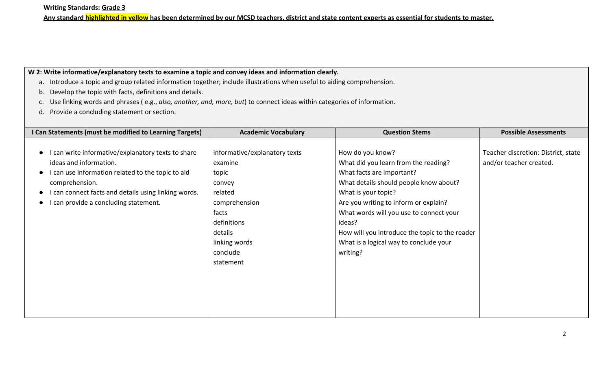## **W 2: Write informative/explanatory texts to examine a topic and convey ideas and information clearly.**

- a. Introduce a topic and group related information together; include illustrations when useful to aiding comprehension.
- b. Develop the topic with facts, definitions and details.
- c. Use linking words and phrases ( e.g., *also, another, and, more, but*) to connect ideas within categories of information.
- d. Provide a concluding statement or section.

| I Can Statements (must be modified to Learning Targets)                                                                                                                                                                                                                                                | <b>Academic Vocabulary</b>                                                                                                                                           | <b>Question Stems</b>                                                                                                                                                                                                                                                                                                                                        | <b>Possible Assessments</b>                                    |
|--------------------------------------------------------------------------------------------------------------------------------------------------------------------------------------------------------------------------------------------------------------------------------------------------------|----------------------------------------------------------------------------------------------------------------------------------------------------------------------|--------------------------------------------------------------------------------------------------------------------------------------------------------------------------------------------------------------------------------------------------------------------------------------------------------------------------------------------------------------|----------------------------------------------------------------|
| I can write informative/explanatory texts to share<br>$\bullet$<br>ideas and information.<br>I can use information related to the topic to aid<br>$\bullet$<br>comprehension.<br>I can connect facts and details using linking words.<br>$\bullet$<br>can provide a concluding statement.<br>$\bullet$ | informative/explanatory texts<br>examine<br>topic<br>convey<br>related<br>comprehension<br>facts<br>definitions<br>details<br>linking words<br>conclude<br>statement | How do you know?<br>What did you learn from the reading?<br>What facts are important?<br>What details should people know about?<br>What is your topic?<br>Are you writing to inform or explain?<br>What words will you use to connect your<br>ideas?<br>How will you introduce the topic to the reader<br>What is a logical way to conclude your<br>writing? | Teacher discretion: District, state<br>and/or teacher created. |
|                                                                                                                                                                                                                                                                                                        |                                                                                                                                                                      |                                                                                                                                                                                                                                                                                                                                                              |                                                                |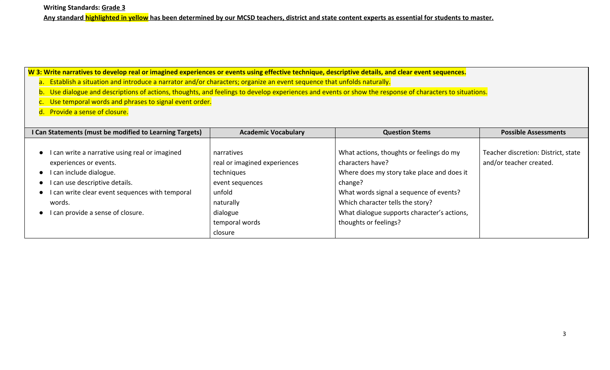**Writing Standards: Grade 3**

**Any standard highlighted in yellow has been determined by our MCSD teachers, district and state content experts as essential for students to master.**

## **W 3: Write narratives to develop real or imagined experiences or events using effective technique, descriptive details, and clear event sequences.**

a. Establish a situation and introduce a narrator and/or characters; organize an event sequence that unfolds naturally.

b. Use dialogue and descriptions of actions, thoughts, and feelings to develop experiences and events or show the response of characters to situations.

c. Use temporal words and phrases to signal event order.

d. Provide a sense of closure.

| I Can Statements (must be modified to Learning Targets)                                                                                                                                                                                                                        | <b>Academic Vocabulary</b>                                                                                     | <b>Question Stems</b>                                                                                                                                                                                                                               | <b>Possible Assessments</b>                                    |
|--------------------------------------------------------------------------------------------------------------------------------------------------------------------------------------------------------------------------------------------------------------------------------|----------------------------------------------------------------------------------------------------------------|-----------------------------------------------------------------------------------------------------------------------------------------------------------------------------------------------------------------------------------------------------|----------------------------------------------------------------|
| I can write a narrative using real or imagined<br>$\bullet$<br>experiences or events.<br>I can include dialogue.<br>$\bullet$<br>I can use descriptive details.<br>I can write clear event sequences with temporal<br>$\bullet$<br>words.<br>I can provide a sense of closure. | narratives<br>real or imagined experiences<br>techniques<br>event sequences<br>unfold<br>naturally<br>dialogue | What actions, thoughts or feelings do my<br>characters have?<br>Where does my story take place and does it<br>change?<br>What words signal a sequence of events?<br>Which character tells the story?<br>What dialogue supports character's actions, | Teacher discretion: District, state<br>and/or teacher created. |
|                                                                                                                                                                                                                                                                                | temporal words                                                                                                 | thoughts or feelings?                                                                                                                                                                                                                               |                                                                |
|                                                                                                                                                                                                                                                                                | closure                                                                                                        |                                                                                                                                                                                                                                                     |                                                                |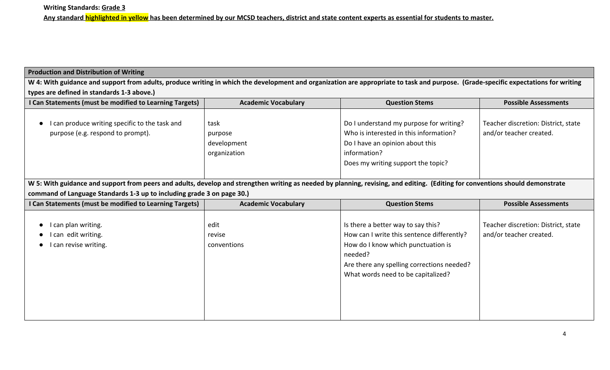## **Production and Distribution of Writing**

**W 4: With guidance and support from adults, produce writing in which the development and organization are appropriate to task and purpose. (Grade-specific expectations for writing types are defined in standards 1-3 above.)**

| I Can Statements (must be modified to Learning Targets)                                                                                                                        | <b>Academic Vocabulary</b>                     | <b>Question Stems</b>                                                                                                                                                                                                 | <b>Possible Assessments</b>                                    |
|--------------------------------------------------------------------------------------------------------------------------------------------------------------------------------|------------------------------------------------|-----------------------------------------------------------------------------------------------------------------------------------------------------------------------------------------------------------------------|----------------------------------------------------------------|
| I can produce writing specific to the task and<br>purpose (e.g. respond to prompt).                                                                                            | task<br>purpose<br>development<br>organization | Do I understand my purpose for writing?<br>Who is interested in this information?<br>Do I have an opinion about this<br>information?<br>Does my writing support the topic?                                            | Teacher discretion: District, state<br>and/or teacher created. |
| W 5: With guidance and support from peers and adults, develop and strengthen writing as needed by planning, revising, and editing. (Editing for conventions should demonstrate |                                                |                                                                                                                                                                                                                       |                                                                |
| command of Language Standards 1-3 up to including grade 3 on page 30.)                                                                                                         |                                                |                                                                                                                                                                                                                       |                                                                |
| I Can Statements (must be modified to Learning Targets)                                                                                                                        | <b>Academic Vocabulary</b>                     | <b>Question Stems</b>                                                                                                                                                                                                 | <b>Possible Assessments</b>                                    |
| I can plan writing.<br>can edit writing.<br>I can revise writing.                                                                                                              | edit<br>revise<br>conventions                  | Is there a better way to say this?<br>How can I write this sentence differently?<br>How do I know which punctuation is<br>needed?<br>Are there any spelling corrections needed?<br>What words need to be capitalized? | Teacher discretion: District, state<br>and/or teacher created. |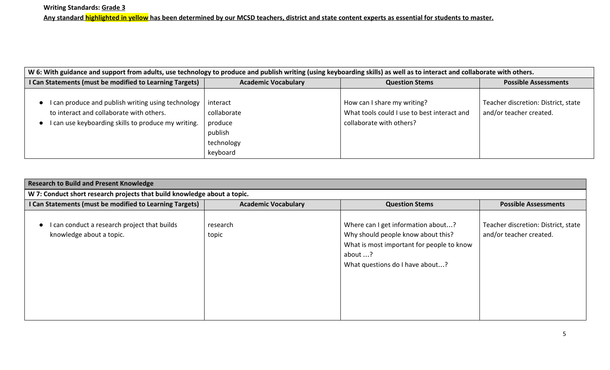| W 6: With guidance and support from adults, use technology to produce and publish writing (using keyboarding skills) as well as to interact and collaborate with others. |                                                                         |                                                                                                        |                                                                |
|--------------------------------------------------------------------------------------------------------------------------------------------------------------------------|-------------------------------------------------------------------------|--------------------------------------------------------------------------------------------------------|----------------------------------------------------------------|
| I Can Statements (must be modified to Learning Targets)                                                                                                                  | <b>Academic Vocabulary</b>                                              | <b>Question Stems</b>                                                                                  | <b>Possible Assessments</b>                                    |
| I can produce and publish writing using technology<br>to interact and collaborate with others.<br>I can use keyboarding skills to produce my writing.                    | interact<br>collaborate<br>produce<br>publish<br>technology<br>keyboard | How can I share my writing?<br>What tools could I use to best interact and<br>collaborate with others? | Teacher discretion: District, state<br>and/or teacher created. |

| <b>Research to Build and Present Knowledge</b>                           |                            |                                                                                                                                                                     |                                                                |
|--------------------------------------------------------------------------|----------------------------|---------------------------------------------------------------------------------------------------------------------------------------------------------------------|----------------------------------------------------------------|
| W 7: Conduct short research projects that build knowledge about a topic. |                            |                                                                                                                                                                     |                                                                |
| I Can Statements (must be modified to Learning Targets)                  | <b>Academic Vocabulary</b> | <b>Question Stems</b>                                                                                                                                               | <b>Possible Assessments</b>                                    |
| can conduct a research project that builds<br>knowledge about a topic.   | research<br>topic          | Where can I get information about?<br>Why should people know about this?<br>What is most important for people to know<br>about ?<br>What questions do I have about? | Teacher discretion: District, state<br>and/or teacher created. |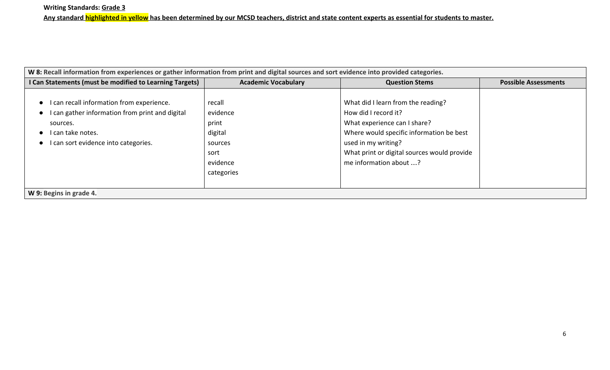| W 8: Recall information from experiences or gather information from print and digital sources and sort evidence into provided categories.                             |                                                                                     |                                                                                                                                                                                                                                        |                             |
|-----------------------------------------------------------------------------------------------------------------------------------------------------------------------|-------------------------------------------------------------------------------------|----------------------------------------------------------------------------------------------------------------------------------------------------------------------------------------------------------------------------------------|-----------------------------|
| I Can Statements (must be modified to Learning Targets)                                                                                                               | <b>Academic Vocabulary</b>                                                          | <b>Question Stems</b>                                                                                                                                                                                                                  | <b>Possible Assessments</b> |
| I can recall information from experience.<br>I can gather information from print and digital<br>sources.<br>I can take notes.<br>I can sort evidence into categories. | recall<br>evidence<br>print<br>digital<br>sources<br>sort<br>evidence<br>categories | What did I learn from the reading?<br>How did I record it?<br>What experience can I share?<br>Where would specific information be best<br>used in my writing?<br>What print or digital sources would provide<br>me information about ? |                             |
| W 9: Begins in grade 4.                                                                                                                                               |                                                                                     |                                                                                                                                                                                                                                        |                             |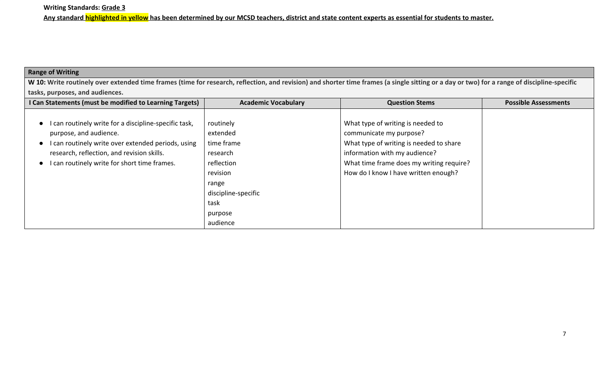## **Range of Writing**

**W 10: Write routinely over extended time frames (time for research, reflection, and revision) and shorter time frames (a single sitting or a day or two) for a range of discipline-specific tasks, purposes, and audiences.**

| I Can Statements (must be modified to Learning Targets) | <b>Academic Vocabulary</b> | <b>Question Stems</b>                    | <b>Possible Assessments</b> |
|---------------------------------------------------------|----------------------------|------------------------------------------|-----------------------------|
|                                                         |                            |                                          |                             |
| can routinely write for a discipline-specific task,     | routinely                  | What type of writing is needed to        |                             |
| purpose, and audience.                                  | extended                   | communicate my purpose?                  |                             |
| can routinely write over extended periods, using        | time frame                 | What type of writing is needed to share  |                             |
| research, reflection, and revision skills.              | research                   | information with my audience?            |                             |
| can routinely write for short time frames.              | reflection                 | What time frame does my writing require? |                             |
|                                                         | revision                   | How do I know I have written enough?     |                             |
|                                                         | range                      |                                          |                             |
|                                                         | discipline-specific        |                                          |                             |
|                                                         | task                       |                                          |                             |
|                                                         | purpose                    |                                          |                             |
|                                                         | audience                   |                                          |                             |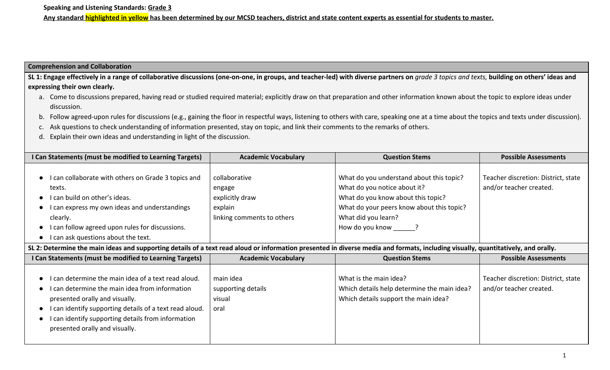### **Comprehension and Collaboration**

SL 1: Engage effectively in a range of collaborative discussions (one-on-one, in groups, and teacher-led) with diverse partners on *grade 3 topics and texts*, building on others' ideas and **expressing their own clearly.**

- a. Come to discussions prepared, having read or studied required material; explicitly draw on that preparation and other information known about the topic to explore ideas under discussion.
- b. Follow agreed-upon rules for discussions (e.g., gaining the floor in respectful ways, listening to others with care, speaking one at a time about the topics and texts under discussion).
- c. Ask questions to check understanding of information presented, stay on topic, and link their comments to the remarks of others.
- d. Explain their own ideas and understanding in light of the discussion.

| I Can Statements (must be modified to Learning Targets)                                                                                                                           | <b>Academic Vocabulary</b> | <b>Question Stems</b>                       | <b>Possible Assessments</b>         |  |
|-----------------------------------------------------------------------------------------------------------------------------------------------------------------------------------|----------------------------|---------------------------------------------|-------------------------------------|--|
|                                                                                                                                                                                   |                            |                                             |                                     |  |
| • I can collaborate with others on Grade 3 topics and                                                                                                                             | collaborative              | What do you understand about this topic?    | Teacher discretion: District, state |  |
| texts.                                                                                                                                                                            | engage                     | What do you notice about it?                | and/or teacher created.             |  |
| I can build on other's ideas.                                                                                                                                                     | explicitly draw            | What do you know about this topic?          |                                     |  |
| I can express my own ideas and understandings                                                                                                                                     | explain                    | What do your peers know about this topic?   |                                     |  |
| clearly.                                                                                                                                                                          | linking comments to others | What did you learn?                         |                                     |  |
| I can follow agreed upon rules for discussions.                                                                                                                                   |                            | How do you know ?                           |                                     |  |
| • I can ask questions about the text.                                                                                                                                             |                            |                                             |                                     |  |
| SL 2: Determine the main ideas and supporting details of a text read aloud or information presented in diverse media and formats, including visually, quantitatively, and orally. |                            |                                             |                                     |  |
|                                                                                                                                                                                   |                            |                                             |                                     |  |
| I Can Statements (must be modified to Learning Targets)                                                                                                                           | <b>Academic Vocabulary</b> | <b>Question Stems</b>                       | <b>Possible Assessments</b>         |  |
|                                                                                                                                                                                   |                            |                                             |                                     |  |
| can determine the main idea of a text read aloud.                                                                                                                                 | main idea                  | What is the main idea?                      | Teacher discretion: District, state |  |
| I can determine the main idea from information                                                                                                                                    | supporting details         | Which details help determine the main idea? | and/or teacher created.             |  |
| presented orally and visually.                                                                                                                                                    | visual                     | Which details support the main idea?        |                                     |  |
| I can identify supporting details of a text read aloud.                                                                                                                           | oral                       |                                             |                                     |  |
| I can identify supporting details from information                                                                                                                                |                            |                                             |                                     |  |
| presented orally and visually.                                                                                                                                                    |                            |                                             |                                     |  |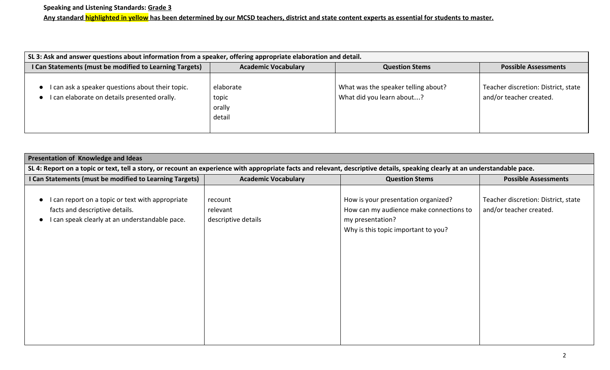| SL 3: Ask and answer questions about information from a speaker, offering appropriate elaboration and detail. |                                        |                                                                  |                                                                |
|---------------------------------------------------------------------------------------------------------------|----------------------------------------|------------------------------------------------------------------|----------------------------------------------------------------|
| I Can Statements (must be modified to Learning Targets)                                                       | <b>Academic Vocabulary</b>             | <b>Question Stems</b>                                            | <b>Possible Assessments</b>                                    |
| can ask a speaker questions about their topic.<br>can elaborate on details presented orally.                  | elaborate<br>topic<br>orally<br>detail | What was the speaker telling about?<br>What did you learn about? | Teacher discretion: District, state<br>and/or teacher created. |

| <b>Presentation of Knowledge and Ideas</b>                                                                                                                                    |                                            |                                                                                                                                           |                                                                |  |
|-------------------------------------------------------------------------------------------------------------------------------------------------------------------------------|--------------------------------------------|-------------------------------------------------------------------------------------------------------------------------------------------|----------------------------------------------------------------|--|
| SL 4: Report on a topic or text, tell a story, or recount an experience with appropriate facts and relevant, descriptive details, speaking clearly at an understandable pace. |                                            |                                                                                                                                           |                                                                |  |
| I Can Statements (must be modified to Learning Targets)                                                                                                                       | <b>Academic Vocabulary</b>                 | <b>Question Stems</b>                                                                                                                     | <b>Possible Assessments</b>                                    |  |
| I can report on a topic or text with appropriate<br>facts and descriptive details.<br>I can speak clearly at an understandable pace.                                          | recount<br>relevant<br>descriptive details | How is your presentation organized?<br>How can my audience make connections to<br>my presentation?<br>Why is this topic important to you? | Teacher discretion: District, state<br>and/or teacher created. |  |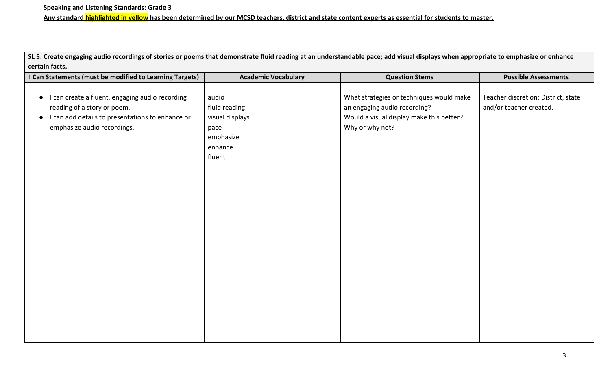**SL 5: Create engaging audio recordings of stories or poems that demonstrate fluid reading at an understandable pace; add visual displays when appropriate to emphasize or enhance certain facts.**

| I Can Statements (must be modified to Learning Targets)                                                                                                                                     | <b>Academic Vocabulary</b>                                                          | <b>Question Stems</b>                                                                                                                   | <b>Possible Assessments</b>                                    |
|---------------------------------------------------------------------------------------------------------------------------------------------------------------------------------------------|-------------------------------------------------------------------------------------|-----------------------------------------------------------------------------------------------------------------------------------------|----------------------------------------------------------------|
| I can create a fluent, engaging audio recording<br>$\bullet$<br>reading of a story or poem.<br>I can add details to presentations to enhance or<br>$\bullet$<br>emphasize audio recordings. | audio<br>fluid reading<br>visual displays<br>pace<br>emphasize<br>enhance<br>fluent | What strategies or techniques would make<br>an engaging audio recording?<br>Would a visual display make this better?<br>Why or why not? | Teacher discretion: District, state<br>and/or teacher created. |